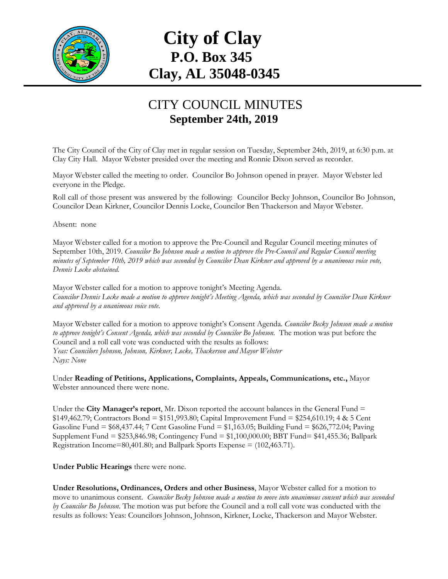

## **City of Clay P.O. Box 345 Clay, AL 35048-0345**

## CITY COUNCIL MINUTES **September 24th, 2019**

The City Council of the City of Clay met in regular session on Tuesday, September 24th, 2019, at 6:30 p.m. at Clay City Hall. Mayor Webster presided over the meeting and Ronnie Dixon served as recorder.

Mayor Webster called the meeting to order. Councilor Bo Johnson opened in prayer. Mayor Webster led everyone in the Pledge.

Roll call of those present was answered by the following: Councilor Becky Johnson, Councilor Bo Johnson, Councilor Dean Kirkner, Councilor Dennis Locke, Councilor Ben Thackerson and Mayor Webster.

Absent: none

Mayor Webster called for a motion to approve the Pre-Council and Regular Council meeting minutes of September 10th, 2019. *Councilor Bo Johnson made a motion to approve the Pre-Council and Regular Council meeting minutes of September 10th, 2019 which was seconded by Councilor Dean Kirkner and approved by a unanimous voice vote, Dennis Locke abstained.*

Mayor Webster called for a motion to approve tonight's Meeting Agenda. *Councilor Dennis Locke made a motion to approve tonight's Meeting Agenda, which was seconded by Councilor Dean Kirkner and approved by a unanimous voice vote.*

Mayor Webster called for a motion to approve tonight's Consent Agenda. *Councilor Becky Johnson made a motion to approve tonight's Consent Agenda, which was seconded by Councilor Bo Johnson.* The motion was put before the Council and a roll call vote was conducted with the results as follows: *Yeas: Councilors Johnson, Johnson, Kirkner, Locke, Thackerson and Mayor Webster Nays: None*

Under **Reading of Petitions, Applications, Complaints, Appeals, Communications, etc.,** Mayor Webster announced there were none.

Under the **City Manager's report**, Mr. Dixon reported the account balances in the General Fund = \$149,462.79; Contractors Bond = \$151,993.80; Capital Improvement Fund = \$254,610.19; 4 & 5 Cent Gasoline Fund = \$68,437.44; 7 Cent Gasoline Fund = \$1,163.05; Building Fund = \$626,772.04; Paving Supplement Fund = \$253,846.98; Contingency Fund = \$1,100,000.00; BBT Fund= \$41,455.36; Ballpark Registration Income=80,401.80; and Ballpark Sports Expense =  $(102, 463.71)$ .

**Under Public Hearings** there were none.

**Under Resolutions, Ordinances, Orders and other Business**, Mayor Webster called for a motion to move to unanimous consent. *Councilor Becky Johnson made a motion to move into unanimous consent which was seconded by Councilor Bo Johnson*. The motion was put before the Council and a roll call vote was conducted with the results as follows: Yeas: Councilors Johnson, Johnson, Kirkner, Locke, Thackerson and Mayor Webster.